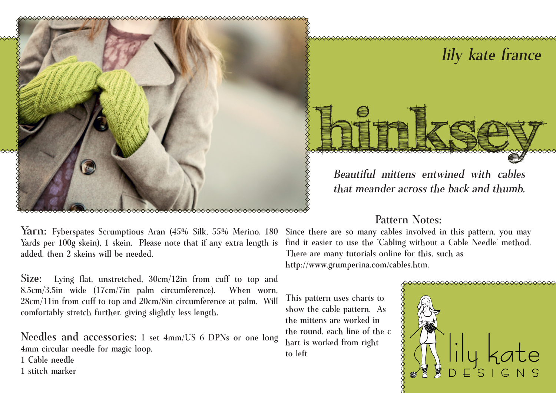

# **hinksey** lily kate france

Beautiful mittens entwined with cables that meander across the back and thumb.

# Pattern Notes:

Yarn: Fyberspates Scrumptious Aran (45% Silk, 55% Merino, 180 Yards per 100g skein), 1 skein. Please note that if any extra length is added, then 2 skeins will be needed.

Size: Lying flat, unstretched, 30cm/12in from cuff to top and 8.5cm/3.5in wide (17cm/7in palm circumference). When worn, 28cm/11in from cuff to top and 20cm/8in circumference at palm. Will comfortably stretch further, giving slightly less length.

Needles and accessories: 1 set 4mm/US 6 DPNs or one long 4mm circular needle for magic loop.

- 1 Cable needle
- 1 stitch marker

Since there are so many cables involved in this pattern, you may find it easier to use the 'Cabling without a Cable Needle' method. There are many tutorials online for this, such as http://www.grumperina.com/cables.htm.

This pattern uses charts to show the cable pattern. As the mittens are worked in the round, each line of the c hart is worked from right to left

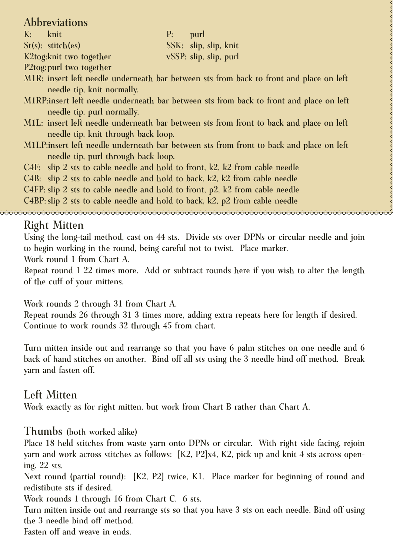### Abbreviations

K: knit P: purl St(s): stitch(es) SSK: slip, slip, knit K2tog:knit two together vSSP: slip, slip, purl

P2tog:purl two together

- M1R: insert left needle underneath bar between sts from back to front and place on left needle tip, knit normally.
- M1RP:insert left needle underneath bar between sts from back to front and place on left needle tip, purl normally.
- M1L: insert left needle underneath bar between sts from front to back and place on left needle tip, knit through back loop.
- M1LP:insert left needle underneath bar between sts from front to back and place on left needle tip, purl through back loop.
- C4F: slip 2 sts to cable needle and hold to front, k2, k2 from cable needle

C4B: slip 2 sts to cable needle and hold to back, k2, k2 from cable needle

C4FP: slip 2 sts to cable needle and hold to front, p2, k2 from cable needle

C4BP:slip 2 sts to cable needle and hold to back, k2, p2 from cable needle

# Right Mitten

Using the long-tail method, cast on 44 sts. Divide sts over DPNs or circular needle and join to begin working in the round, being careful not to twist. Place marker.

Work round 1 from Chart A.

Repeat round 1 22 times more. Add or subtract rounds here if you wish to alter the length of the cuff of your mittens.

Work rounds 2 through 31 from Chart A.

Repeat rounds 26 through 31 3 times more, adding extra repeats here for length if desired. Continue to work rounds 32 through 45 from chart.

Turn mitten inside out and rearrange so that you have 6 palm stitches on one needle and 6 back of hand stitches on another. Bind off all sts using the 3 needle bind off method. Break yarn and fasten off.

## Left Mitten

Work exactly as for right mitten, but work from Chart B rather than Chart A.

### Thumbs (both worked alike)

Place 18 held stitches from waste yarn onto DPNs or circular. With right side facing, rejoin yarn and work across stitches as follows: [K2, P2]x4, K2, pick up and knit 4 sts across opening. 22 sts.

Next round (partial round): [K2, P2] twice, K1. Place marker for beginning of round and redistibute sts if desired.

Work rounds 1 through 16 from Chart C. 6 sts.

Turn mitten inside out and rearrange sts so that you have 3 sts on each needle. Bind off using the 3 needle bind off method.

Fasten off and weave in ends.